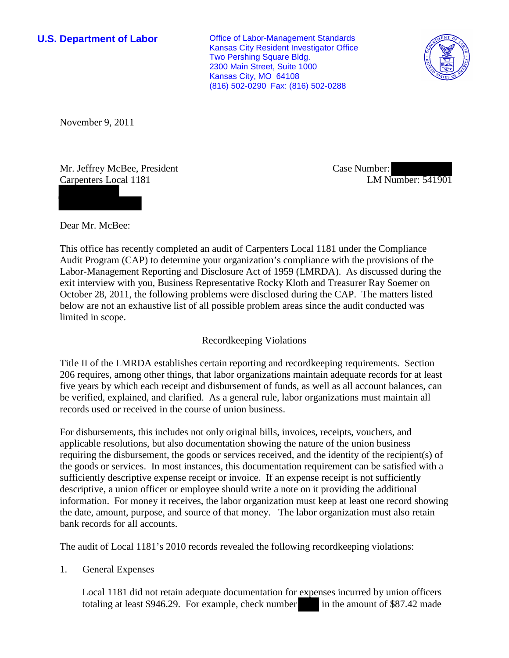**U.S. Department of Labor Conservative Conservative Conservative Conservative Conservative Conservative Conservative Conservative Conservative Conservative Conservative Conservative Conservative Conservative Conservative** Kansas City Resident Investigator Office Two Pershing Square Bldg. 2300 Main Street, Suite 1000 Kansas City, MO 64108 (816) 502-0290 Fax: (816) 502-0288



November 9, 2011

Mr. Jeffrey McBee, President Carpenters Local 1181

Case Number: LM Number: 541901

Dear Mr. McBee:

This office has recently completed an audit of Carpenters Local 1181 under the Compliance Audit Program (CAP) to determine your organization's compliance with the provisions of the Labor-Management Reporting and Disclosure Act of 1959 (LMRDA). As discussed during the exit interview with you, Business Representative Rocky Kloth and Treasurer Ray Soemer on October 28, 2011, the following problems were disclosed during the CAP. The matters listed below are not an exhaustive list of all possible problem areas since the audit conducted was limited in scope.

## Recordkeeping Violations

Title II of the LMRDA establishes certain reporting and recordkeeping requirements. Section 206 requires, among other things, that labor organizations maintain adequate records for at least five years by which each receipt and disbursement of funds, as well as all account balances, can be verified, explained, and clarified. As a general rule, labor organizations must maintain all records used or received in the course of union business.

For disbursements, this includes not only original bills, invoices, receipts, vouchers, and applicable resolutions, but also documentation showing the nature of the union business requiring the disbursement, the goods or services received, and the identity of the recipient(s) of the goods or services. In most instances, this documentation requirement can be satisfied with a sufficiently descriptive expense receipt or invoice. If an expense receipt is not sufficiently descriptive, a union officer or employee should write a note on it providing the additional information. For money it receives, the labor organization must keep at least one record showing the date, amount, purpose, and source of that money. The labor organization must also retain bank records for all accounts.

The audit of Local 1181's 2010 records revealed the following recordkeeping violations:

1. General Expenses

Local 1181 did not retain adequate documentation for expenses incurred by union officers totaling at least \$946.29. For example, check number in the amount of \$87.42 made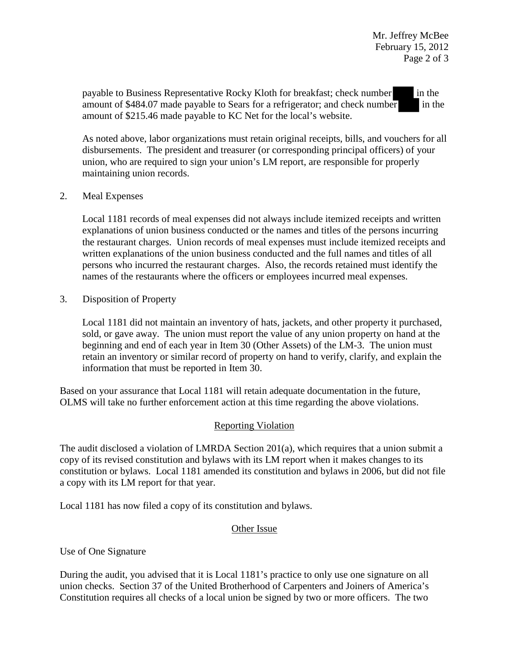payable to Business Representative Rocky Kloth for breakfast; check number in the amount of  $$484.07$  made payable to Sears for a refrigerator; and check number in the amount of \$215.46 made payable to KC Net for the local's website.

As noted above, labor organizations must retain original receipts, bills, and vouchers for all disbursements. The president and treasurer (or corresponding principal officers) of your union, who are required to sign your union's LM report, are responsible for properly maintaining union records.

## 2. Meal Expenses

Local 1181 records of meal expenses did not always include itemized receipts and written explanations of union business conducted or the names and titles of the persons incurring the restaurant charges. Union records of meal expenses must include itemized receipts and written explanations of the union business conducted and the full names and titles of all persons who incurred the restaurant charges. Also, the records retained must identify the names of the restaurants where the officers or employees incurred meal expenses.

3. Disposition of Property

Local 1181 did not maintain an inventory of hats, jackets, and other property it purchased, sold, or gave away. The union must report the value of any union property on hand at the beginning and end of each year in Item 30 (Other Assets) of the LM-3. The union must retain an inventory or similar record of property on hand to verify, clarify, and explain the information that must be reported in Item 30.

Based on your assurance that Local 1181 will retain adequate documentation in the future, OLMS will take no further enforcement action at this time regarding the above violations.

## Reporting Violation

The audit disclosed a violation of LMRDA Section 201(a), which requires that a union submit a copy of its revised constitution and bylaws with its LM report when it makes changes to its constitution or bylaws. Local 1181 amended its constitution and bylaws in 2006, but did not file a copy with its LM report for that year.

Local 1181 has now filed a copy of its constitution and bylaws.

## Other Issue

Use of One Signature

During the audit, you advised that it is Local 1181's practice to only use one signature on all union checks. Section 37 of the United Brotherhood of Carpenters and Joiners of America's Constitution requires all checks of a local union be signed by two or more officers. The two